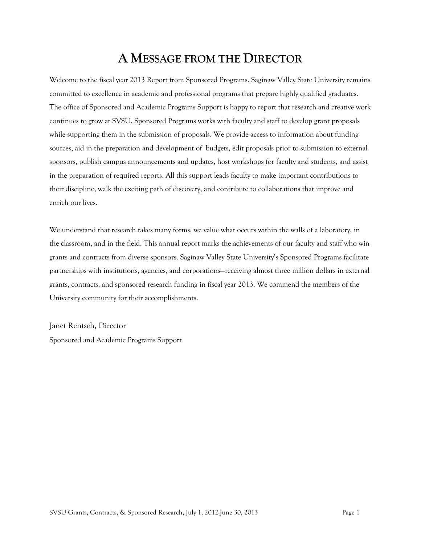## **A MESSAGE FROM THE DIRECTOR**

Welcome to the fiscal year 2013 Report from Sponsored Programs. Saginaw Valley State University remains committed to excellence in academic and professional programs that prepare highly qualified graduates. The office of Sponsored and Academic Programs Support is happy to report that research and creative work continues to grow at SVSU. Sponsored Programs works with faculty and staff to develop grant proposals while supporting them in the submission of proposals. We provide access to information about funding sources, aid in the preparation and development of budgets, edit proposals prior to submission to external sponsors, publish campus announcements and updates, host workshops for faculty and students, and assist in the preparation of required reports. All this support leads faculty to make important contributions to their discipline, walk the exciting path of discovery, and contribute to collaborations that improve and enrich our lives.

We understand that research takes many forms; we value what occurs within the walls of a laboratory, in the classroom, and in the field. This annual report marks the achievements of our faculty and staff who win grants and contracts from diverse sponsors. Saginaw Valley State University's Sponsored Programs facilitate partnerships with institutions, agencies, and corporations—receiving almost three million dollars in external grants, contracts, and sponsored research funding in fiscal year 2013. We commend the members of the University community for their accomplishments.

Janet Rentsch, Director Sponsored and Academic Programs Support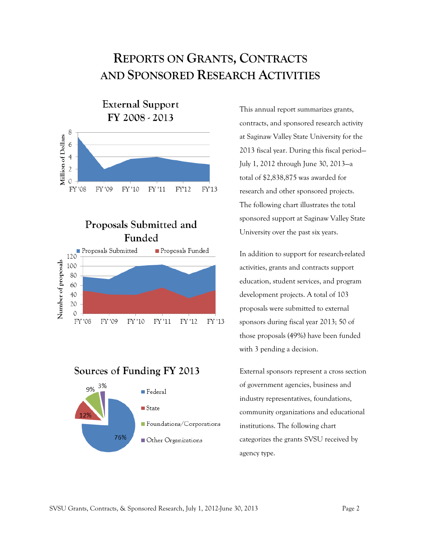## **REPORTS ON GRANTS, CONTRACTS AND SPONSORED RESEARCH ACTIVITIES**



### Proposals Submitted and Funded



Sources of Funding FY 2013



This annual report summarizes grants, contracts, and sponsored research activity at Saginaw Valley State University for the 2013 fiscal year. During this fiscal period— July 1, 2012 through June 30, 2013—a total of \$2,838,875 was awarded for research and other sponsored projects. The following chart illustrates the total sponsored support at Saginaw Valley State University over the past six years.

In addition to support for research-related activities, grants and contracts support education, student services, and program development projects. A total of 103 proposals were submitted to external sponsors during fiscal year 2013; 50 of those proposals (49%) have been funded with 3 pending a decision.

External sponsors represent a cross section of government agencies, business and industry representatives, foundations, community organizations and educational institutions. The following chart categorizes the grants SVSU received by agency type.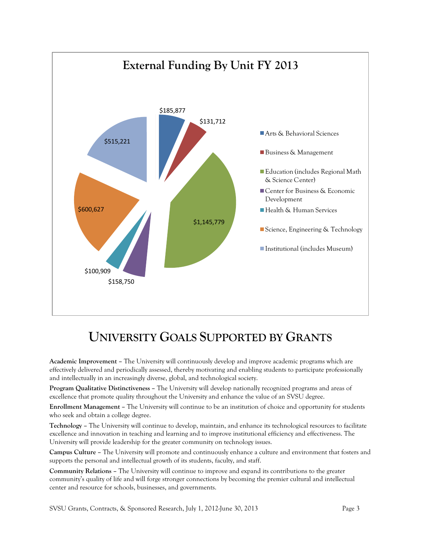

## **UNIVERSITY GOALS SUPPORTED BY GRANTS**

**Academic Improvement –** The University will continuously develop and improve academic programs which are effectively delivered and periodically assessed, thereby motivating and enabling students to participate professionally and intellectually in an increasingly diverse, global, and technological society.

**Program Qualitative Distinctiveness –** The University will develop nationally recognized programs and areas of excellence that promote quality throughout the University and enhance the value of an SVSU degree.

**Enrollment Management –** The University will continue to be an institution of choice and opportunity for students who seek and obtain a college degree.

**Technology –** The University will continue to develop, maintain, and enhance its technological resources to facilitate excellence and innovation in teaching and learning and to improve institutional efficiency and effectiveness. The University will provide leadership for the greater community on technology issues.

**Campus Culture –** The University will promote and continuously enhance a culture and environment that fosters and supports the personal and intellectual growth of its students, faculty, and staff.

**Community Relations –** The University will continue to improve and expand its contributions to the greater community's quality of life and will forge stronger connections by becoming the premier cultural and intellectual center and resource for schools, businesses, and governments.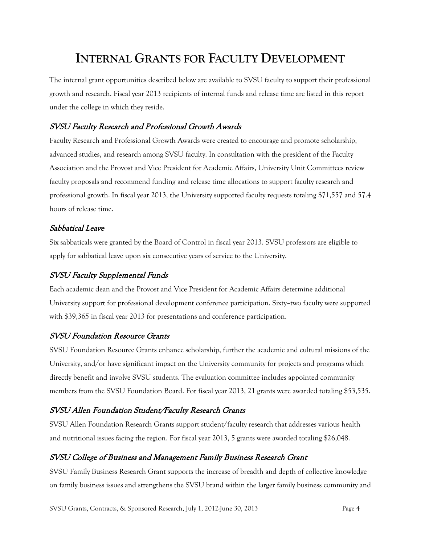## **INTERNAL GRANTS FOR FACULTY DEVELOPMENT**

The internal grant opportunities described below are available to SVSU faculty to support their professional growth and research. Fiscal year 2013 recipients of internal funds and release time are listed in this report under the college in which they reside.

#### SVSU Faculty Research and Professional Growth Awards

Faculty Research and Professional Growth Awards were created to encourage and promote scholarship, advanced studies, and research among SVSU faculty. In consultation with the president of the Faculty Association and the Provost and Vice President for Academic Affairs, University Unit Committees review faculty proposals and recommend funding and release time allocations to support faculty research and professional growth. In fiscal year 2013, the University supported faculty requests totaling \$71,557 and 57.4 hours of release time.

#### Sabbatical Leave

Six sabbaticals were granted by the Board of Control in fiscal year 2013. SVSU professors are eligible to apply for sabbatical leave upon six consecutive years of service to the University.

#### SVSU Faculty Supplemental Funds

Each academic dean and the Provost and Vice President for Academic Affairs determine additional University support for professional development conference participation. Sixty–two faculty were supported with \$39,365 in fiscal year 2013 for presentations and conference participation.

#### SVSU Foundation Resource Grants

SVSU Foundation Resource Grants enhance scholarship, further the academic and cultural missions of the University, and/or have significant impact on the University community for projects and programs which directly benefit and involve SVSU students. The evaluation committee includes appointed community members from the SVSU Foundation Board. For fiscal year 2013, 21 grants were awarded totaling \$53,535.

#### SVSU Allen Foundation Student/Faculty Research Grants

SVSU Allen Foundation Research Grants support student/faculty research that addresses various health and nutritional issues facing the region. For fiscal year 2013, 5 grants were awarded totaling \$26,048.

#### SVSU College of Business and Management Family Business Research Grant

SVSU Family Business Research Grant supports the increase of breadth and depth of collective knowledge on family business issues and strengthens the SVSU brand within the larger family business community and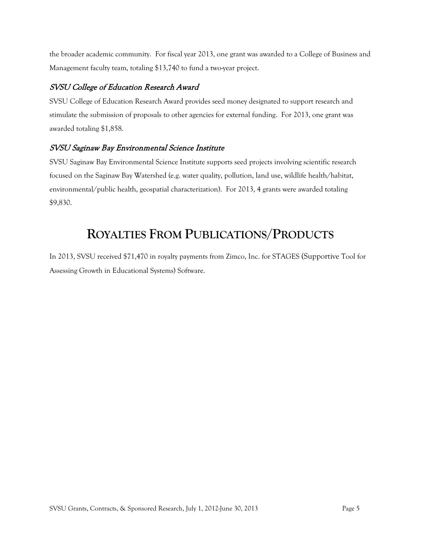the broader academic community. For fiscal year 2013, one grant was awarded to a College of Business and Management faculty team, totaling \$13,740 to fund a two-year project.

#### SVSU College of Education Research Award

SVSU College of Education Research Award provides seed money designated to support research and stimulate the submission of proposals to other agencies for external funding. For 2013, one grant was awarded totaling \$1,858.

#### SVSU Saginaw Bay Environmental Science Institute

SVSU Saginaw Bay Environmental Science Institute supports seed projects involving scientific research focused on the Saginaw Bay Watershed (e.g. water quality, pollution, land use, wildlife health/habitat, environmental/public health, geospatial characterization). For 2013, 4 grants were awarded totaling \$9,830.

## **ROYALTIES FROM PUBLICATIONS/PRODUCTS**

In 2013, SVSU received \$71,470 in royalty payments from Zimco, Inc. for STAGES (Supportive Tool for Assessing Growth in Educational Systems) Software.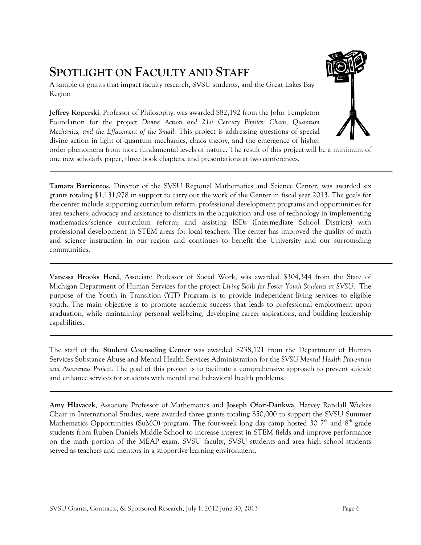## **SPOTLIGHT ON FACULTY AND STAFF**

A sample of grants that impact faculty research, SVSU students, and the Great Lakes Bay Region

**Jeffrey Koperski**, Professor of Philosophy, was awarded \$82,192 from the John Templeton Foundation for the project *Divine Action and 21st Century Physics: Chaos, Quantum Mechanics, and the Effacement of the Small*. This project is addressing questions of special divine action in light of quantum mechanics, chaos theory, and the emergence of higher

order phenomena from more fundamental levels of nature. The result of this project will be a minimum of one new scholarly paper, three book chapters, and presentations at two conferences.

**Tamara Barrientos**, Director of the SVSU Regional Mathematics and Science Center, was awarded six grants totaling \$1,131,978 in support to carry out the work of the Center in fiscal year 2013. The goals for the center include supporting curriculum reform; professional development programs and opportunities for area teachers; advocacy and assistance to districts in the acquisition and use of technology in implementing mathematics/science curriculum reform; and assisting ISDs (Intermediate School Districts) with professional development in STEM areas for local teachers. The center has improved the quality of math and science instruction in our region and continues to benefit the University and our surrounding communities.

**Vanessa Brooks Herd**, Associate Professor of Social Work, was awarded \$304,344 from the State of Michigan Department of Human Services for the project *Living Skills for Foster Youth Students at SVSU*. The purpose of the Youth in Transition (YIT) Program is to provide independent living services to eligible youth. The main objective is to promote academic success that leads to professional employment upon graduation, while maintaining personal well-being, developing career aspirations, and building leadership capabilities.

The staff of the **Student Counseling Center** was awarded \$238,121 from the Department of Human Services Substance Abuse and Mental Health Services Administration for the *SVSU Mental Health Prevention and Awareness Project*. The goal of this project is to facilitate a comprehensive approach to prevent suicide and enhance services for students with mental and behavioral health problems.

**Amy Hlavacek**, Associate Professor of Mathematics and **Joseph Ofori-Dankwa**, Harvey Randall Wickes Chair in International Studies, were awarded three grants totaling \$50,000 to support the SVSU Summer Mathematics Opportunities (SuMO) program. The four-week long day camp hosted 30  $7<sup>th</sup>$  and  $8<sup>th</sup>$  grade students from Ruben Daniels Middle School to increase interest in STEM fields and improve performance on the math portion of the MEAP exam. SVSU faculty, SVSU students and area high school students served as teachers and mentors in a supportive learning environment.

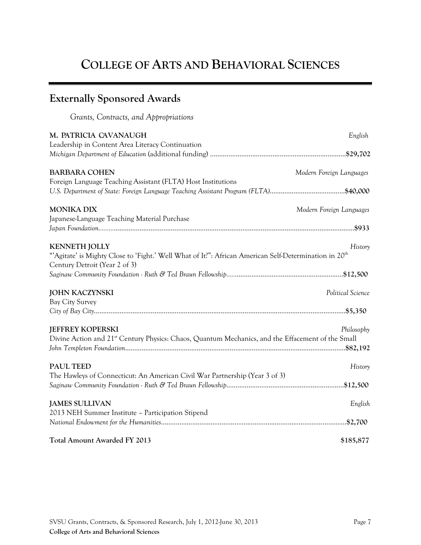# **COLLEGE OF ARTS AND BEHAVIORAL SCIENCES**

| <b>Externally Sponsored Awards</b>                                                                                                                                        |                          |
|---------------------------------------------------------------------------------------------------------------------------------------------------------------------------|--------------------------|
| Grants, Contracts, and Appropriations                                                                                                                                     |                          |
| M. PATRICIA CAVANAUGH                                                                                                                                                     | English                  |
| Leadership in Content Area Literacy Continuation                                                                                                                          |                          |
| <b>BARBARA COHEN</b>                                                                                                                                                      | Modern Foreign Languages |
| Foreign Language Teaching Assistant (FLTA) Host Institutions                                                                                                              |                          |
| <b>MONIKA DIX</b>                                                                                                                                                         | Modern Foreign Languages |
| Japanese-Language Teaching Material Purchase                                                                                                                              |                          |
| <b>KENNETH JOLLY</b><br>"Agitate' is Mighty Close to 'Fight.' Well What of It!": African American Self-Determination in 20 <sup>th</sup><br>Century Detroit (Year 2 of 3) | History                  |
|                                                                                                                                                                           |                          |
| <b>JOHN KACZYNSKI</b><br><b>Bay City Survey</b>                                                                                                                           | Political Science        |
|                                                                                                                                                                           |                          |
| <b>JEFFREY KOPERSKI</b><br>Divine Action and 21 <sup>st</sup> Century Physics: Chaos, Quantum Mechanics, and the Effacement of the Small                                  | Philosophy               |
| <b>PAUL TEED</b><br>The Hawleys of Connecticut: An American Civil War Partnership (Year 3 of 3)                                                                           | History                  |
|                                                                                                                                                                           |                          |
| <b>JAMES SULLIVAN</b>                                                                                                                                                     | English                  |
| 2013 NEH Summer Institute - Participation Stipend                                                                                                                         |                          |
| Total Amount Awarded FY 2013                                                                                                                                              | \$185,877                |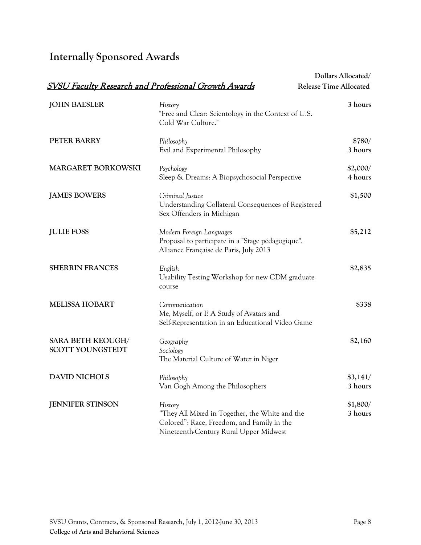## **Internally Sponsored Awards**

|                                                     |                                                                                                                                                   | Dollars Allocated/            |
|-----------------------------------------------------|---------------------------------------------------------------------------------------------------------------------------------------------------|-------------------------------|
|                                                     | <b>SVSU Faculty Research and Professional Growth Awards</b>                                                                                       | <b>Release Time Allocated</b> |
| <b>JOHN BAESLER</b>                                 | History<br>"Free and Clear: Scientology in the Context of U.S.<br>Cold War Culture."                                                              | 3 hours                       |
| PETER BARRY                                         | Philosophy<br>Evil and Experimental Philosophy                                                                                                    | \$780/<br>3 hours             |
| MARGARET BORKOWSKI                                  | Psychology<br>Sleep & Dreams: A Biopsychosocial Perspective                                                                                       | \$2,000/<br>4 hours           |
| <b>JAMES BOWERS</b>                                 | Criminal Justice<br>Understanding Collateral Consequences of Registered<br>Sex Offenders in Michigan                                              | \$1,500                       |
| <b>JULIE FOSS</b>                                   | Modern Foreign Languages<br>Proposal to participate in a "Stage pédagogique",<br>Alliance Française de Paris, July 2013                           | \$5,212                       |
| <b>SHERRIN FRANCES</b>                              | English<br>Usability Testing Workshop for new CDM graduate<br>course                                                                              | \$2,835                       |
| <b>MELISSA HOBART</b>                               | Communication<br>Me, Myself, or I? A Study of Avatars and<br>Self-Representation in an Educational Video Game                                     | \$338                         |
| <b>SARA BETH KEOUGH/</b><br><b>SCOTT YOUNGSTEDT</b> | Geography<br>Sociology<br>The Material Culture of Water in Niger                                                                                  | \$2,160                       |
| <b>DAVID NICHOLS</b>                                | Philosophy<br>Van Gogh Among the Philosophers                                                                                                     | \$3,141/<br>3 hours           |
| <b>JENNIFER STINSON</b>                             | History<br>"They All Mixed in Together, the White and the<br>Colored": Race, Freedom, and Family in the<br>Nineteenth-Century Rural Upper Midwest | \$1,800/<br>3 hours           |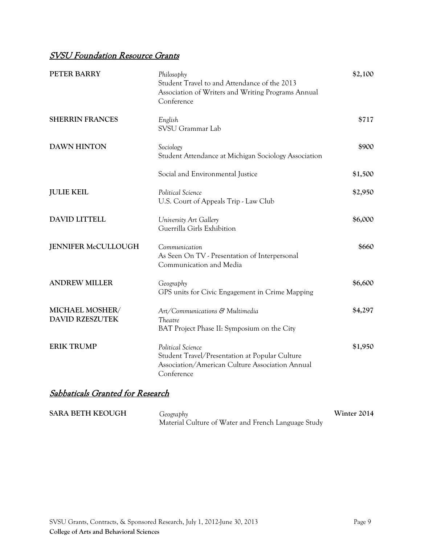### SVSU Foundation Resource Grants

| PETER BARRY                               | Philosophy<br>Student Travel to and Attendance of the 2013<br>Association of Writers and Writing Programs Annual<br>Conference       | \$2,100 |
|-------------------------------------------|--------------------------------------------------------------------------------------------------------------------------------------|---------|
| <b>SHERRIN FRANCES</b>                    | English<br>SVSU Grammar Lab                                                                                                          | \$717   |
| <b>DAWN HINTON</b>                        | Sociology<br>Student Attendance at Michigan Sociology Association                                                                    | \$900   |
|                                           | Social and Environmental Justice                                                                                                     | \$1,500 |
| <b>JULIE KEIL</b>                         | Political Science<br>U.S. Court of Appeals Trip - Law Club                                                                           | \$2,950 |
| <b>DAVID LITTELL</b>                      | University Art Gallery<br>Guerrilla Girls Exhibition                                                                                 | \$6,000 |
| <b>JENNIFER McCULLOUGH</b>                | Communication<br>As Seen On TV - Presentation of Interpersonal<br>Communication and Media                                            | \$660   |
| <b>ANDREW MILLER</b>                      | Geography<br>GPS units for Civic Engagement in Crime Mapping                                                                         | \$6,600 |
| MICHAEL MOSHER/<br><b>DAVID RZESZUTEK</b> | Art/Communications & Multimedia<br>Theatre<br>BAT Project Phase II: Symposium on the City                                            | \$4,297 |
| <b>ERIK TRUMP</b>                         | Political Science<br>Student Travel/Presentation at Popular Culture<br>Association/American Culture Association Annual<br>Conference | \$1,950 |

### Sabbaticals Granted for Research

| <b>SARA BETH KEOUGH</b><br>Geography |                                                     | Winter 2014 |
|--------------------------------------|-----------------------------------------------------|-------------|
|                                      | Material Culture of Water and French Language Study |             |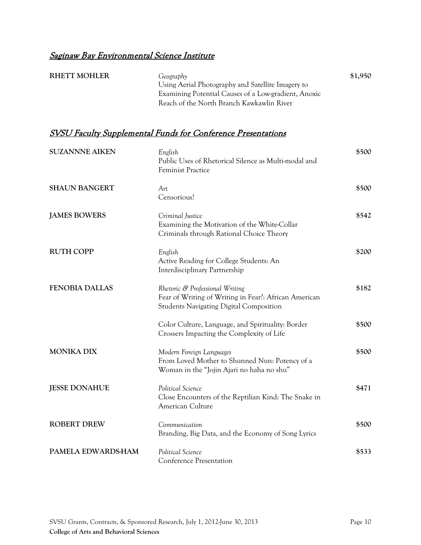| <b>RHETT MOHLER</b> | Geography                                            | \$1,950 |
|---------------------|------------------------------------------------------|---------|
|                     | Using Aerial Photography and Satellite Imagery to    |         |
|                     | Examining Potential Causes of a Low-gradient, Anoxic |         |
|                     | Reach of the North Branch Kawkawlin River            |         |

| <b>SUZANNNE AIKEN</b> | English<br>Public Uses of Rhetorical Silence as Multi-modal and<br><b>Feminist Practice</b>                                                | \$500 |
|-----------------------|--------------------------------------------------------------------------------------------------------------------------------------------|-------|
| <b>SHAUN BANGERT</b>  | Art<br>Censorious!                                                                                                                         | \$500 |
| <b>JAMES BOWERS</b>   | Criminal Justice<br>Examining the Motivation of the White-Collar<br>Criminals through Rational Choice Theory                               | \$542 |
| <b>RUTH COPP</b>      | English<br>Active Reading for College Students: An<br>Interdisciplinary Partnership                                                        | \$200 |
| <b>FENOBIA DALLAS</b> | Rhetoric & Professional Writing<br>Fear of Writing of Writing in Fear?: African American<br><b>Students Navigating Digital Composition</b> | \$182 |
|                       | Color Culture, Language, and Spirituality: Border<br>Crossers Impacting the Complexity of Life                                             | \$500 |
| <b>MONIKA DIX</b>     | Modern Foreign Languages<br>From Loved Mother to Shunned Nun: Potency of a<br>Woman in the "Jojin Ajari no haha no shu"                    | \$500 |
| <b>JESSE DONAHUE</b>  | Political Science<br>Close Encounters of the Reptilian Kind: The Snake in<br>American Culture                                              | \$471 |
| <b>ROBERT DREW</b>    | Communication<br>Branding, Big Data, and the Economy of Song Lyrics                                                                        | \$500 |
| PAMELA EDWARDS-HAM    | Political Science<br><b>Conference Presentation</b>                                                                                        | \$533 |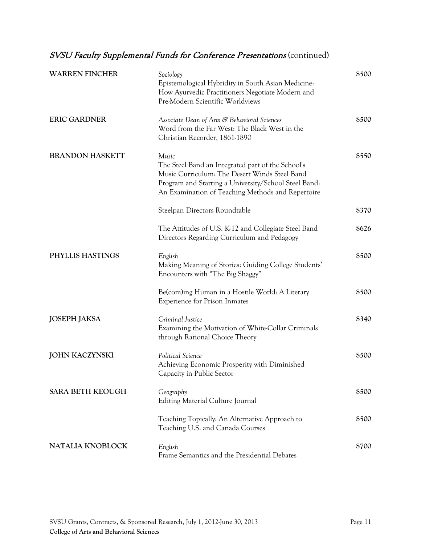| <b>WARREN FINCHER</b>   | Sociology<br>Epistemological Hybridity in South Asian Medicine:<br>How Ayurvedic Practitioners Negotiate Modern and<br>Pre-Modern Scientific Worldviews                                                                  | \$500 |
|-------------------------|--------------------------------------------------------------------------------------------------------------------------------------------------------------------------------------------------------------------------|-------|
| <b>ERIC GARDNER</b>     | Associate Dean of Arts & Behavioral Sciences<br>Word from the Far West: The Black West in the<br>Christian Recorder, 1861-1890                                                                                           | \$500 |
| <b>BRANDON HASKETT</b>  | Music<br>The Steel Band an Integrated part of the School's<br>Music Curriculum: The Desert Winds Steel Band<br>Program and Starting a University/School Steel Band:<br>An Examination of Teaching Methods and Repertoire | \$550 |
|                         | Steelpan Directors Roundtable                                                                                                                                                                                            | \$370 |
|                         | The Attitudes of U.S. K-12 and Collegiate Steel Band<br>Directors Regarding Curriculum and Pedagogy                                                                                                                      | \$626 |
| PHYLLIS HASTINGS        | English<br>Making Meaning of Stories: Guiding College Students'<br>Encounters with "The Big Shaggy"                                                                                                                      | \$500 |
|                         | Be(com)ing Human in a Hostile World: A Literary<br>Experience for Prison Inmates                                                                                                                                         | \$500 |
| <b>JOSEPH JAKSA</b>     | Criminal Justice<br>Examining the Motivation of White-Collar Criminals<br>through Rational Choice Theory                                                                                                                 | \$340 |
| <b>JOHN KACZYNSKI</b>   | Political Science<br>Achieving Economic Prosperity with Diminished<br>Capacity in Public Sector                                                                                                                          | \$500 |
| <b>SARA BETH KEOUGH</b> | Geography<br><b>Editing Material Culture Journal</b>                                                                                                                                                                     | \$500 |
|                         | Teaching Topically: An Alternative Approach to<br>Teaching U.S. and Canada Courses                                                                                                                                       | \$500 |
| NATALIA KNOBLOCK        | English<br>Frame Semantics and the Presidential Debates                                                                                                                                                                  | \$700 |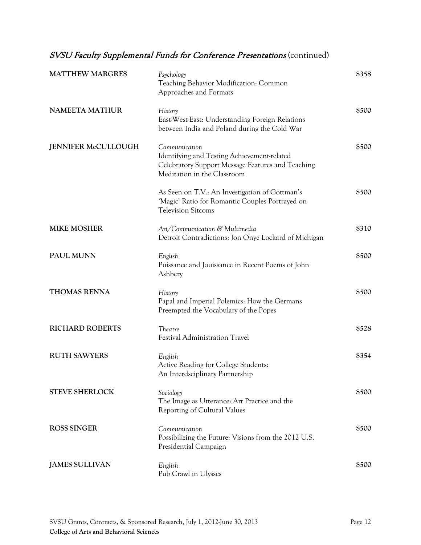| <b>MATTHEW MARGRES</b>     | Psychology<br>Teaching Behavior Modification: Common<br>Approaches and Formats                                                                   | \$358 |
|----------------------------|--------------------------------------------------------------------------------------------------------------------------------------------------|-------|
| <b>NAMEETA MATHUR</b>      | History<br>East-West-East: Understanding Foreign Relations<br>between India and Poland during the Cold War                                       | \$500 |
| <b>JENNIFER McCULLOUGH</b> | Communication<br>Identifying and Testing Achievement-related<br>Celebratory Support Message Features and Teaching<br>Meditation in the Classroom | \$500 |
|                            | As Seen on T.V.: An Investigation of Gottman's<br>'Magic' Ratio for Romantic Couples Portrayed on<br><b>Television Sitcoms</b>                   | \$500 |
| <b>MIKE MOSHER</b>         | Art/Communication & Multimedia<br>Detroit Contradictions: Jon Onye Lockard of Michigan                                                           | \$310 |
| PAUL MUNN                  | English<br>Puissance and Jouissance in Recent Poems of John<br>Ashbery                                                                           | \$500 |
| <b>THOMAS RENNA</b>        | History<br>Papal and Imperial Polemics: How the Germans<br>Preempted the Vocabulary of the Popes                                                 | \$500 |
| <b>RICHARD ROBERTS</b>     | Theatre<br>Festival Administration Travel                                                                                                        | \$528 |
| <b>RUTH SAWYERS</b>        | English<br>Active Reading for College Students:<br>An Interdsciplinary Partnership                                                               | \$354 |
| <b>STEVE SHERLOCK</b>      | Sociology<br>The Image as Utterance: Art Practice and the<br>Reporting of Cultural Values                                                        | \$500 |
| <b>ROSS SINGER</b>         | Communication<br>Possibilizing the Future: Visions from the 2012 U.S.<br>Presidential Campaign                                                   | \$500 |
| <b>JAMES SULLIVAN</b>      | English<br>Pub Crawl in Ulysses                                                                                                                  | \$500 |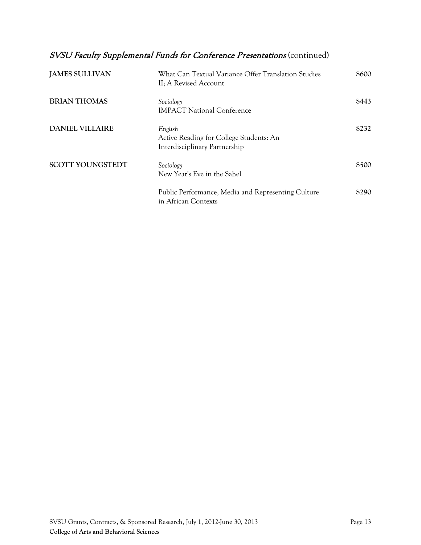| <b>JAMES SULLIVAN</b>   | What Can Textual Variance Offer Translation Studies<br>II; A Revised Account        | \$600 |
|-------------------------|-------------------------------------------------------------------------------------|-------|
| <b>BRIAN THOMAS</b>     | Sociology<br><b>IMPACT National Conference</b>                                      | \$443 |
| DANIEL VILLAIRE         | English<br>Active Reading for College Students: An<br>Interdisciplinary Partnership | \$232 |
| <b>SCOTT YOUNGSTEDT</b> | Sociology<br>New Year's Eve in the Sahel                                            | \$500 |
|                         | Public Performance, Media and Representing Culture<br>in African Contexts           | \$290 |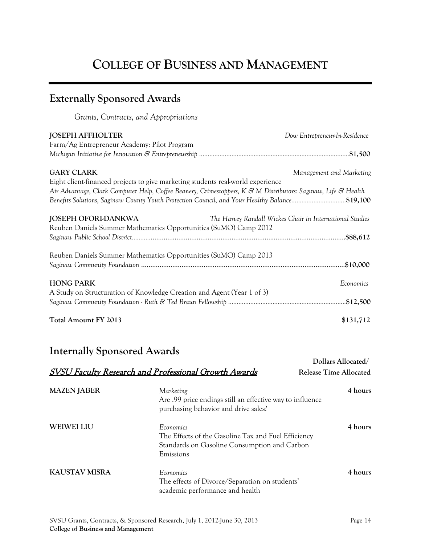# **COLLEGE OF BUSINESS AND MANAGEMENT**

| <b>Externally Sponsored Awards</b>                              |                                                                                                                                                                                                                                                                                                   |                                                          |
|-----------------------------------------------------------------|---------------------------------------------------------------------------------------------------------------------------------------------------------------------------------------------------------------------------------------------------------------------------------------------------|----------------------------------------------------------|
| Grants, Contracts, and Appropriations                           |                                                                                                                                                                                                                                                                                                   |                                                          |
| JOSEPH AFFHOLTER<br>Farm/Ag Entrepreneur Academy: Pilot Program |                                                                                                                                                                                                                                                                                                   | Dow Entrepreneur-In-Residence                            |
| <b>GARY CLARK</b>                                               | Eight client-financed projects to give marketing students real-world experience<br>Air Advantage, Clark Computer Help, Coffee Beanery, Crimestoppers, K & M Distributors: Saginaw, Life & Health<br>Benefits Solutions, Saginaw County Youth Protection Council, and Your Healthy Balance\$19,100 | Management and Marketing                                 |
| JOSEPH OFORI-DANKWA                                             | Reuben Daniels Summer Mathematics Opportunities (SuMO) Camp 2012<br>Reuben Daniels Summer Mathematics Opportunities (SuMO) Camp 2013                                                                                                                                                              | The Harvey Randall Wickes Chair in International Studies |
| <b>HONG PARK</b>                                                | A Study on Structuration of Knowledge Creation and Agent (Year 1 of 3)                                                                                                                                                                                                                            | Economics                                                |
| Total Amount FY 2013                                            |                                                                                                                                                                                                                                                                                                   | \$131,712                                                |
| Internally Sponsored Awards                                     | <b>SVSU Faculty Research and Professional Growth Awards</b>                                                                                                                                                                                                                                       | Dollars Allocated/<br><b>Release Time Allocated</b>      |
| <b>MAZEN JABER</b>                                              | Marketing<br>Are .99 price endings still an effective way to influence<br>purchasing behavior and drive sales?                                                                                                                                                                                    | 4 hours                                                  |
| WEIWEI LIU                                                      | Economics<br>The Effects of the Gasoline Tax and Fuel Efficiency<br>Standards on Gasoline Consumption and Carbon<br>Emissions                                                                                                                                                                     | 4 hours                                                  |

**KAUSTAV MISRA** *Economics* The effects of Divorce/Separation on students' academic performance and health **4 hours**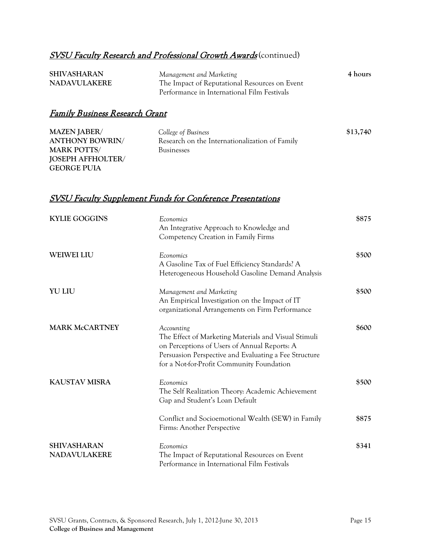| <b>SHIVASHARAN</b>  | Management and Marketing                      | 4 hours |
|---------------------|-----------------------------------------------|---------|
| <b>NADAVULAKERE</b> | The Impact of Reputational Resources on Event |         |
|                     | Performance in International Film Festivals   |         |

### Family Business Research Grant

| <b>MAZEN JABER/</b>      | College of Business                            | \$13,740 |
|--------------------------|------------------------------------------------|----------|
| <b>ANTHONY BOWRIN/</b>   | Research on the Internationalization of Family |          |
| <b>MARK POTTS/</b>       | <b>Businesses</b>                              |          |
| <b>JOSEPH AFFHOLTER/</b> |                                                |          |
| <b>GEORGE PUIA</b>       |                                                |          |

#### SVSU Faculty Supplement Funds for Conference Presentations

| <b>KYLIE GOGGINS</b>                      | Economics<br>An Integrative Approach to Knowledge and<br>Competency Creation in Family Firms                                                                                                                             | \$875 |
|-------------------------------------------|--------------------------------------------------------------------------------------------------------------------------------------------------------------------------------------------------------------------------|-------|
| <b>WEIWEI LIU</b>                         | Economics<br>A Gasoline Tax of Fuel Efficiency Standards? A<br>Heterogeneous Household Gasoline Demand Analysis                                                                                                          | \$500 |
| <b>YU LIU</b>                             | Management and Marketing<br>An Empirical Investigation on the Impact of IT<br>organizational Arrangements on Firm Performance                                                                                            | \$500 |
| <b>MARK McCARTNEY</b>                     | Accounting<br>The Effect of Marketing Materials and Visual Stimuli<br>on Perceptions of Users of Annual Reports: A<br>Persuasion Perspective and Evaluating a Fee Structure<br>for a Not-for-Profit Community Foundation | \$600 |
| <b>KAUSTAV MISRA</b>                      | Economics<br>The Self Realization Theory: Academic Achievement<br>Gap and Student's Loan Default                                                                                                                         | \$500 |
|                                           | Conflict and Socioemotional Wealth (SEW) in Family<br>Firms: Another Perspective                                                                                                                                         | \$875 |
| <b>SHIVASHARAN</b><br><b>NADAVULAKERE</b> | Economics<br>The Impact of Reputational Resources on Event<br>Performance in International Film Festivals                                                                                                                | \$341 |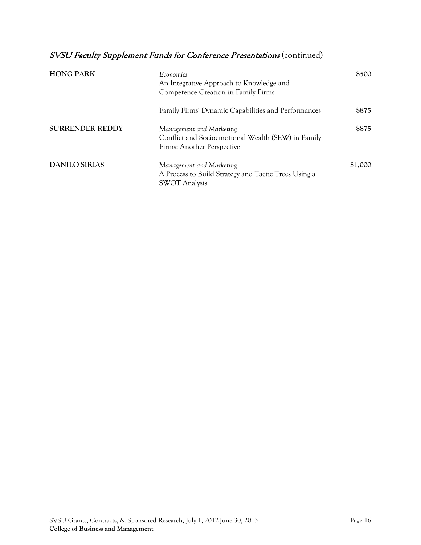| <b>HONG PARK</b>       | Economics<br>An Integrative Approach to Knowledge and<br>Competence Creation in Family Firms                 | \$500   |
|------------------------|--------------------------------------------------------------------------------------------------------------|---------|
|                        | Family Firms' Dynamic Capabilities and Performances                                                          | \$875   |
| <b>SURRENDER REDDY</b> | Management and Marketing<br>Conflict and Socioemotional Wealth (SEW) in Family<br>Firms: Another Perspective | \$875   |
| <b>DANILO SIRIAS</b>   | Management and Marketing<br>A Process to Build Strategy and Tactic Trees Using a<br><b>SWOT Analysis</b>     | \$1,000 |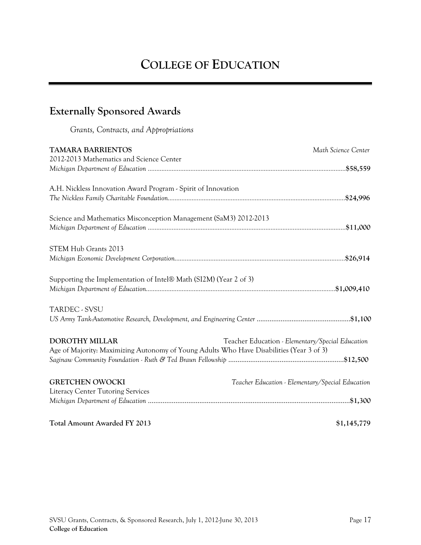# **COLLEGE OF EDUCATION**

## **Externally Sponsored Awards**

*Grants, Contracts, and Appropriations*

| <b>TAMARA BARRIENTOS</b><br>2012-2013 Mathematics and Science Center                                              | Math Science Center                              |
|-------------------------------------------------------------------------------------------------------------------|--------------------------------------------------|
|                                                                                                                   |                                                  |
| A.H. Nickless Innovation Award Program - Spirit of Innovation                                                     |                                                  |
| Science and Mathematics Misconception Management (SaM3) 2012-2013                                                 |                                                  |
| STEM Hub Grants 2013                                                                                              |                                                  |
| Supporting the Implementation of Intel® Math (SI2M) (Year 2 of 3)                                                 |                                                  |
| TARDEC - SVSU                                                                                                     |                                                  |
| <b>DOROTHY MILLAR</b><br>Age of Majority: Maximizing Autonomy of Young Adults Who Have Disabilities (Year 3 of 3) | Teacher Education - Elementary/Special Education |
| <b>GRETCHEN OWOCKI</b><br><b>Literacy Center Tutoring Services</b>                                                | Teacher Education - Elementary/Special Education |
| <b>Total Amount Awarded FY 2013</b>                                                                               | \$1,145,779                                      |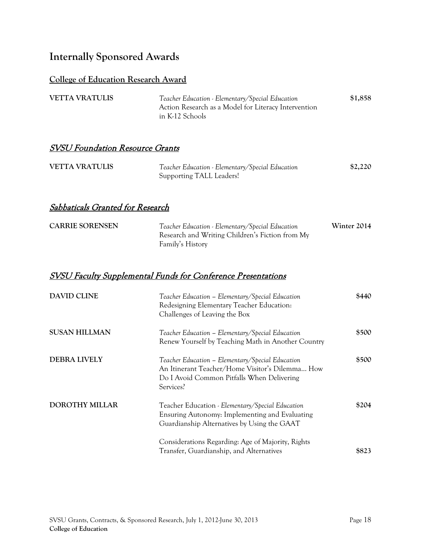### **Internally Sponsored Awards**

#### **College of Education Research Award**

| <b>VETTA VRATULIS</b> | Teacher Education - Elementary/Special Education     | \$1,858 |
|-----------------------|------------------------------------------------------|---------|
|                       | Action Research as a Model for Literacy Intervention |         |
|                       | in K-12 Schools                                      |         |

### SVSU Foundation Resource Grants

| <b>VETTA VRATULIS</b> | Teacher Education - Elementary/Special Education | \$2,220 |
|-----------------------|--------------------------------------------------|---------|
|                       | Supporting TALL Leaders!                         |         |

### Sabbaticals Granted for Research

| <b>CARRIE SORENSEN</b> | Teacher Education - Elementary/Special Education | Winter 2014 |
|------------------------|--------------------------------------------------|-------------|
|                        | Research and Writing Children's Fiction from My  |             |
|                        | Family's History                                 |             |

| <b>DAVID CLINE</b>    | Teacher Education - Elementary/Special Education<br>Redesigning Elementary Teacher Education:<br>Challenges of Leaving the Box                                 | \$440 |
|-----------------------|----------------------------------------------------------------------------------------------------------------------------------------------------------------|-------|
| <b>SUSAN HILLMAN</b>  | Teacher Education - Elementary/Special Education<br>Renew Yourself by Teaching Math in Another Country                                                         | \$500 |
| <b>DEBRA LIVELY</b>   | Teacher Education – Elementary/Special Education<br>An Itinerant Teacher/Home Visitor's Dilemma How<br>Do I Avoid Common Pitfalls When Delivering<br>Services? | \$500 |
| <b>DOROTHY MILLAR</b> | Teacher Education - Elementary/Special Education<br>Ensuring Autonomy: Implementing and Evaluating<br>Guardianship Alternatives by Using the GAAT              | \$204 |
|                       | Considerations Regarding: Age of Majority, Rights<br>Transfer, Guardianship, and Alternatives                                                                  | \$823 |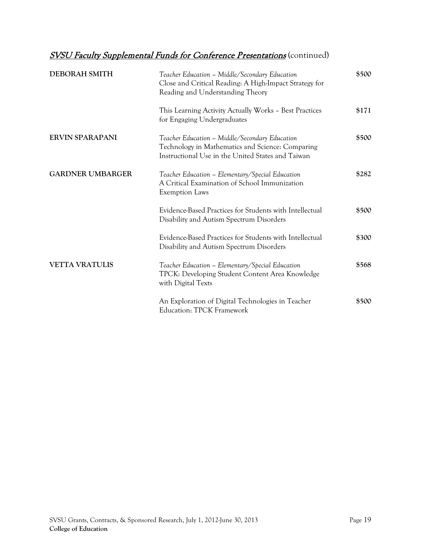| <b>DEBORAH SMITH</b>    | Teacher Education - Middle/Secondary Education<br>Close and Critical Reading: A High-Impact Strategy for<br>Reading and Understanding Theory            | \$500 |
|-------------------------|---------------------------------------------------------------------------------------------------------------------------------------------------------|-------|
|                         | This Learning Activity Actually Works - Best Practices<br>for Engaging Undergraduates                                                                   | \$171 |
| <b>ERVIN SPARAPANI</b>  | Teacher Education - Middle/Secondary Education<br>Technology in Mathematics and Science: Comparing<br>Instructional Use in the United States and Taiwan | \$500 |
| <b>GARDNER UMBARGER</b> | Teacher Education - Elementary/Special Education<br>A Critical Examination of School Immunization<br><b>Exemption Laws</b>                              | \$282 |
|                         | Evidence-Based Practices for Students with Intellectual<br>Disability and Autism Spectrum Disorders                                                     | \$500 |
|                         | Evidence-Based Practices for Students with Intellectual<br>Disability and Autism Spectrum Disorders                                                     | \$300 |
| <b>VETTA VRATULIS</b>   | Teacher Education - Elementary/Special Education<br>TPCK: Developing Student Content Area Knowledge<br>with Digital Texts                               | \$568 |
|                         | An Exploration of Digital Technologies in Teacher<br><b>Education: TPCK Framework</b>                                                                   | \$500 |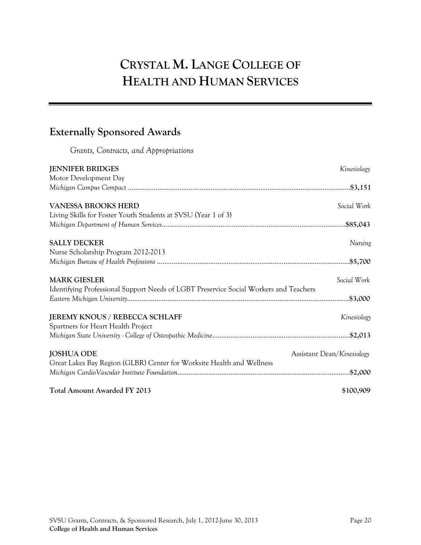# **CRYSTAL M. LANGE COLLEGE OF HEALTH AND HUMAN SERVICES**

## **Externally Sponsored Awards**

*Grants, Contracts, and Appropriations*

| <b>JENNIFER BRIDGES</b>                                                               | Kinesiology                |
|---------------------------------------------------------------------------------------|----------------------------|
| Motor Development Day                                                                 |                            |
|                                                                                       |                            |
| <b>VANESSA BROOKS HERD</b>                                                            | Social Work                |
| Living Skills for Foster Youth Students at SVSU (Year 1 of 3)                         |                            |
|                                                                                       |                            |
| <b>SALLY DECKER</b>                                                                   | Nursing                    |
| Nurse Scholarship Program 2012-2013                                                   |                            |
|                                                                                       |                            |
| <b>MARK GIESLER</b>                                                                   | Social Work                |
| Identifying Professional Support Needs of LGBT Preservice Social Workers and Teachers |                            |
|                                                                                       |                            |
| JEREMY KNOUS / REBECCA SCHLAFF                                                        | Kinesiology                |
| Spartners for Heart Health Project                                                    |                            |
|                                                                                       |                            |
| <b>JOSHUA ODE</b>                                                                     | Assistant Dean/Kinesiology |
| Great Lakes Bay Region (GLBR) Center for Worksite Health and Wellness                 |                            |
|                                                                                       |                            |
| <b>Total Amount Awarded FY 2013</b>                                                   | \$100,909                  |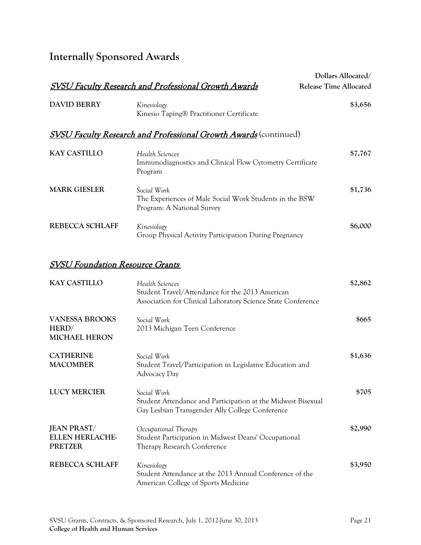## **Internally Sponsored Awards**

|                                                                |                                                                                                                                    | Dollars Allocated/            |
|----------------------------------------------------------------|------------------------------------------------------------------------------------------------------------------------------------|-------------------------------|
|                                                                | <b>SVSU Faculty Research and Professional Growth Awards</b>                                                                        | <b>Release Time Allocated</b> |
| <b>DAVID BERRY</b>                                             | Kinesiology<br>Kinesio Taping® Practitioner Certificate                                                                            | \$3,656                       |
|                                                                | <b>SVSU Faculty Research and Professional Growth Awards</b> (continued)                                                            |                               |
| <b>KAY CASTILLO</b>                                            | Health Sciences<br>Immunodiagnostics and Clinical Flow Cytometry Certificate<br>Program                                            | \$7,767                       |
| <b>MARK GIESLER</b>                                            | Social Work<br>The Experiences of Male Social Work Students in the BSW<br>Program: A National Survey                               | \$1,736                       |
| <b>REBECCA SCHLAFF</b>                                         | Kinesiology<br>Group Physical Activity Participation During Pregnancy                                                              | \$6,000                       |
| <b>SVSU Foundation Resource Grants</b>                         |                                                                                                                                    |                               |
| <b>KAY CASTILLO</b>                                            | Health Sciences<br>Student Travel/Attendance for the 2013 American<br>Association for Clinical Laboratory Science State Conference | \$2,862                       |
| <b>VANESSA BROOKS</b><br>HERD/<br><b>MICHAEL HERON</b>         | Social Work<br>2013 Michigan Teen Conference                                                                                       | \$665                         |
| <b>CATHERINE</b><br><b>MACOMBER</b>                            | Social Work<br>Student Travel/Participation in Legislative Education and<br>Advocacy Day                                           | \$1,636                       |
| <b>LUCY MERCIER</b>                                            | Social Work<br>Student Attendance and Participation at the Midwest Bisexual<br>Gay Lesbian Transgender Ally College Conference     | \$705                         |
| <b>JEAN PRAST/</b><br><b>ELLEN HERLACHE-</b><br><b>PRETZER</b> | Occupational Therapy<br>Student Participation in Midwest Deans' Occupational<br>Therapy Research Conference                        | \$2,990                       |
| <b>REBECCA SCHLAFF</b>                                         | Kinesiology<br>Student Attendance at the 2013 Annual Conference of the<br>American College of Sports Medicine                      | \$3,950                       |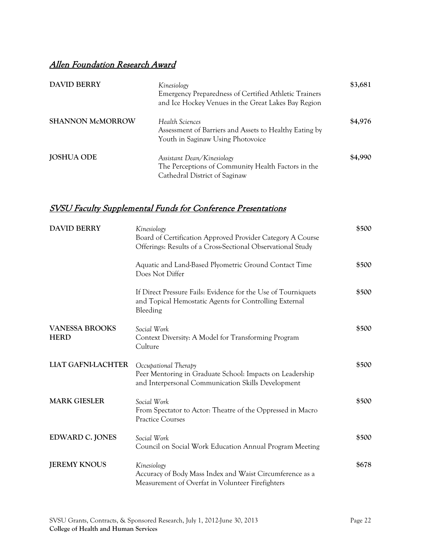### Allen Foundation Research Award

| <b>DAVID BERRY</b>      | Kinesiology<br>Emergency Preparedness of Certified Athletic Trainers<br>and Ice Hockey Venues in the Great Lakes Bay Region | \$3,681 |
|-------------------------|-----------------------------------------------------------------------------------------------------------------------------|---------|
| <b>SHANNON McMORROW</b> | Health Sciences<br>Assessment of Barriers and Assets to Healthy Eating by<br>Youth in Saginaw Using Photovoice              | \$4,976 |
| <b>JOSHUA ODE</b>       | Assistant Dean/Kinesiology<br>The Perceptions of Community Health Factors in the<br>Cathedral District of Saginaw           | \$4,990 |

| <b>DAVID BERRY</b>                   | Kinesiology<br>Board of Certification Approved Provider Category A Course<br>Offerings: Results of a Cross-Sectional Observational Study | \$500 |
|--------------------------------------|------------------------------------------------------------------------------------------------------------------------------------------|-------|
|                                      | Aquatic and Land-Based Plyometric Ground Contact Time<br>Does Not Differ                                                                 | \$500 |
|                                      | If Direct Pressure Fails: Evidence for the Use of Tourniquets<br>and Topical Hemostatic Agents for Controlling External<br>Bleeding      | \$500 |
| <b>VANESSA BROOKS</b><br><b>HERD</b> | Social Work<br>Context Diversity: A Model for Transforming Program<br>Culture                                                            | \$500 |
| <b>LIAT GAFNI-LACHTER</b>            | Occupational Therapy<br>Peer Mentoring in Graduate School: Impacts on Leadership<br>and Interpersonal Communication Skills Development   | \$500 |
| <b>MARK GIESLER</b>                  | Social Work<br>From Spectator to Actor: Theatre of the Oppressed in Macro<br><b>Practice Courses</b>                                     | \$500 |
| EDWARD C. JONES                      | Social Work<br>Council on Social Work Education Annual Program Meeting                                                                   | \$500 |
| <b>JEREMY KNOUS</b>                  | Kinesiology<br>Accuracy of Body Mass Index and Waist Circumference as a<br>Measurement of Overfat in Volunteer Firefighters              | \$678 |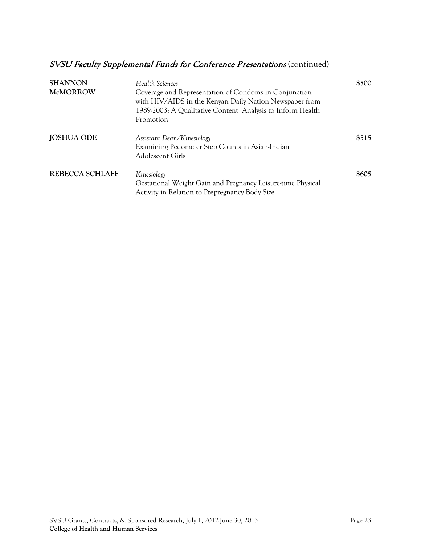| <b>SHANNON</b><br><b>McMORROW</b> | Health Sciences<br>Coverage and Representation of Condoms in Conjunction<br>with HIV/AIDS in the Kenyan Daily Nation Newspaper from<br>1989-2003: A Qualitative Content Analysis to Inform Health<br>Promotion | \$500 |
|-----------------------------------|----------------------------------------------------------------------------------------------------------------------------------------------------------------------------------------------------------------|-------|
| <b>JOSHUA ODE</b>                 | Assistant Dean/Kinesiology<br>Examining Pedometer Step Counts in Asian-Indian<br>Adolescent Girls                                                                                                              | \$515 |
| REBECCA SCHLAFF                   | Kinesiology<br>Gestational Weight Gain and Pregnancy Leisure-time Physical<br>Activity in Relation to Prepregnancy Body Size                                                                                   | \$605 |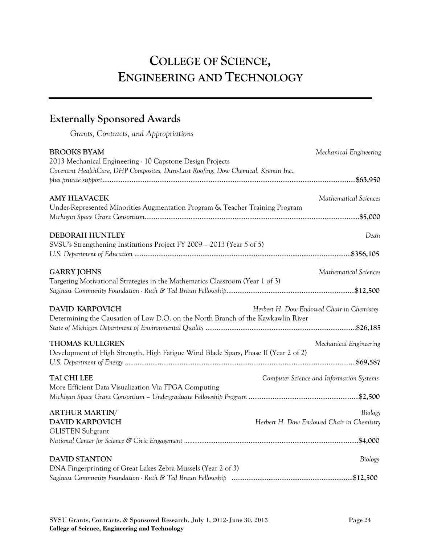# **COLLEGE OF SCIENCE, ENGINEERING AND TECHNOLOGY**

## **Externally Sponsored Awards**

*Grants, Contracts, and Appropriations*

| <b>BROOKS BYAM</b>                                                                  | Mechanical Engineering                    |
|-------------------------------------------------------------------------------------|-------------------------------------------|
| 2013 Mechanical Engineering - 10 Capstone Design Projects                           |                                           |
| Covenant HealthCare, DHP Composites, Duro-Last Roofing, Dow Chemical, Kremin Inc.,  |                                           |
|                                                                                     |                                           |
| <b>AMY HLAVACEK</b>                                                                 | Mathematical Sciences                     |
| Under-Represented Minorities Augmentation Program & Teacher Training Program        |                                           |
|                                                                                     |                                           |
| <b>DEBORAH HUNTLEY</b>                                                              | Dean                                      |
| SVSU's Strengthening Institutions Project FY 2009 - 2013 (Year 5 of 5)              |                                           |
|                                                                                     |                                           |
| <b>GARRY JOHNS</b>                                                                  | Mathematical Sciences                     |
| Targeting Motivational Strategies in the Mathematics Classroom (Year 1 of 3)        |                                           |
|                                                                                     |                                           |
|                                                                                     |                                           |
| <b>DAVID KARPOVICH</b>                                                              | Herbert H. Dow Endowed Chair in Chemistry |
| Determining the Causation of Low D.O. on the North Branch of the Kawkawlin River    |                                           |
|                                                                                     |                                           |
| <b>THOMAS KULLGREN</b>                                                              | Mechanical Engineering                    |
| Development of High Strength, High Fatigue Wind Blade Spars, Phase II (Year 2 of 2) |                                           |
|                                                                                     |                                           |
| TAI CHI LEE                                                                         | Computer Science and Information Systems  |
| More Efficient Data Visualization Via FPGA Computing                                |                                           |
|                                                                                     |                                           |
|                                                                                     |                                           |
| <b>ARTHUR MARTIN/</b>                                                               | Biology                                   |
| <b>DAVID KARPOVICH</b>                                                              | Herbert H. Dow Endowed Chair in Chemistry |
| <b>GLISTEN Subgrant</b>                                                             |                                           |
|                                                                                     |                                           |
| <b>DAVID STANTON</b>                                                                | Biology                                   |
| DNA Fingerprinting of Great Lakes Zebra Mussels (Year 2 of 3)                       |                                           |
|                                                                                     |                                           |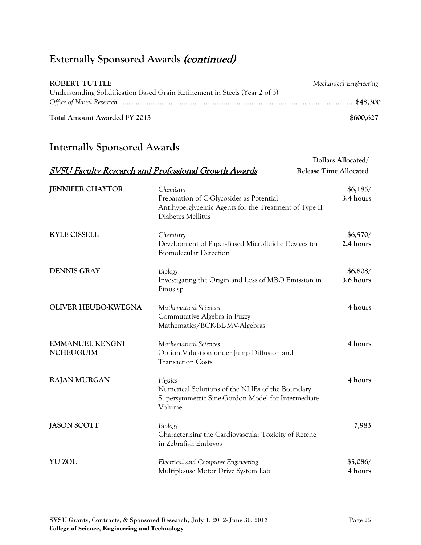## Externally Sponsored Awards (continued)

| ROBERT TUTTLE                                                               | Mechanical Engineering |
|-----------------------------------------------------------------------------|------------------------|
| Understanding Solidification Based Grain Refinement in Steels (Year 2 of 3) |                        |
|                                                                             |                        |
| Total Amount Awarded FY 2013                                                | \$600,627              |

## **Internally Sponsored Awards**

|                                            |                                                                                                                                     | Dollars Allocated/            |
|--------------------------------------------|-------------------------------------------------------------------------------------------------------------------------------------|-------------------------------|
|                                            | <b>SVSU Faculty Research and Professional Growth Awards</b>                                                                         | <b>Release Time Allocated</b> |
| <b>JENNIFER CHAYTOR</b>                    | Chemistry<br>Preparation of C-Glycosides as Potential<br>Antihyperglycemic Agents for the Treatment of Type II<br>Diabetes Mellitus | \$6,185/<br>3.4 hours         |
| <b>KYLE CISSELL</b>                        | Chemistry<br>Development of Paper-Based Microfluidic Devices for<br><b>Biomolecular Detection</b>                                   | \$6,570/<br>2.4 hours         |
| <b>DENNIS GRAY</b>                         | Biology<br>Investigating the Origin and Loss of MBO Emission in<br>Pinus sp                                                         | \$6,808/<br>3.6 hours         |
| OLIVER HEUBO-KWEGNA                        | Mathematical Sciences<br>Commutative Algebra in Fuzzy<br>Mathematics/BCK-BL-MV-Algebras                                             | 4 hours                       |
| <b>EMMANUEL KENGNI</b><br><b>NCHEUGUIM</b> | Mathematical Sciences<br>Option Valuation under Jump Diffusion and<br><b>Transaction Costs</b>                                      | 4 hours                       |
| <b>RAJAN MURGAN</b>                        | Physics<br>Numerical Solutions of the NLIEs of the Boundary<br>Supersymmetric Sine-Gordon Model for Intermediate<br>Volume          | 4 hours                       |
| <b>JASON SCOTT</b>                         | Biology<br>Characterizing the Cardiovascular Toxicity of Retene<br>in Zebrafish Embryos                                             | 7,983                         |
| <b>YU ZOU</b>                              | Electrical and Computer Engineering<br>Multiple-use Motor Drive System Lab                                                          | \$5,086/<br>4 hours           |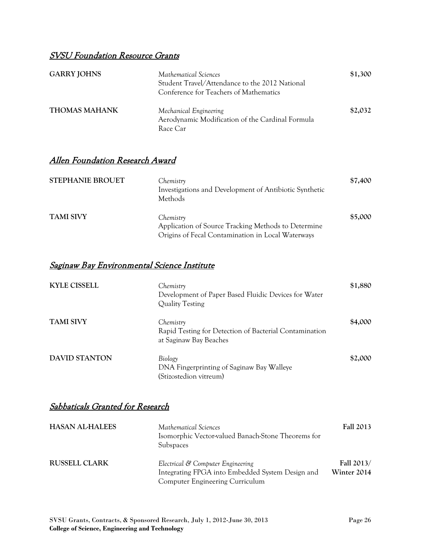### SVSU Foundation Resource Grants

| <b>GARRY JOHNS</b>   | Mathematical Sciences<br>Student Travel/Attendance to the 2012 National<br>Conference for Teachers of Mathematics | \$1,300 |
|----------------------|-------------------------------------------------------------------------------------------------------------------|---------|
| <b>THOMAS MAHANK</b> | Mechanical Engineering<br>Aerodynamic Modification of the Cardinal Formula<br>Race Car                            | \$2,032 |

### Allen Foundation Research Award

| <b>STEPHANIE BROUET</b> | Chemistry<br>Investigations and Development of Antibiotic Synthetic<br>Methods                                        | \$7,400 |
|-------------------------|-----------------------------------------------------------------------------------------------------------------------|---------|
| <b>TAMI SIVY</b>        | Chemistry<br>Application of Source Tracking Methods to Determine<br>Origins of Fecal Contamination in Local Waterways | \$5,000 |

#### Saginaw Bay Environmental Science Institute

| <b>KYLE CISSELL</b>  | Chemistry<br>Development of Paper Based Fluidic Devices for Water<br>Quality Testing          | \$1,880 |
|----------------------|-----------------------------------------------------------------------------------------------|---------|
| <b>TAMI SIVY</b>     | Chemistry<br>Rapid Testing for Detection of Bacterial Contamination<br>at Saginaw Bay Beaches | \$4,000 |
| <b>DAVID STANTON</b> | Biology<br>DNA Fingerprinting of Saginaw Bay Walleye<br>(Stizostedion vitreum)                | \$2,000 |

### Sabbaticals Granted for Research

| <b>HASAN AL-HALEES</b> | Mathematical Sciences<br>Isomorphic Vector-valued Banach-Stone Theorems for<br>Subspaces                                        | <b>Fall 2013</b>          |
|------------------------|---------------------------------------------------------------------------------------------------------------------------------|---------------------------|
| <b>RUSSELL CLARK</b>   | Electrical & Computer Engineering<br>Integrating FPGA into Embedded System Design and<br><b>Computer Engineering Curriculum</b> | Fall 2013/<br>Winter 2014 |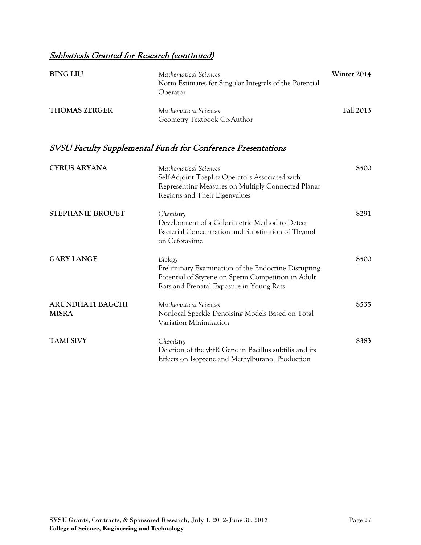### Sabbaticals Granted for Research (continued)

| <b>BING LIU</b>      | Mathematical Sciences<br>Norm Estimates for Singular Integrals of the Potential<br><i>Operator</i> | Winter 2014      |
|----------------------|----------------------------------------------------------------------------------------------------|------------------|
| <b>THOMAS ZERGER</b> | Mathematical Sciences<br>Geometry Textbook Co-Author                                               | <b>Fall 2013</b> |

| <b>CYRUS ARYANA</b>              | Mathematical Sciences<br>Self-Adjoint Toeplitz Operators Associated with<br>Representing Measures on Multiply Connected Planar<br>Regions and Their Eigenvalues  | \$500 |
|----------------------------------|------------------------------------------------------------------------------------------------------------------------------------------------------------------|-------|
| <b>STEPHANIE BROUET</b>          | Chemistry<br>Development of a Colorimetric Method to Detect<br>Bacterial Concentration and Substitution of Thymol<br>on Cefotaxime                               | \$291 |
| <b>GARY LANGE</b>                | Biology<br>Preliminary Examination of the Endocrine Disrupting<br>Potential of Styrene on Sperm Competition in Adult<br>Rats and Prenatal Exposure in Young Rats | \$500 |
| ARUNDHATI BAGCHI<br><b>MISRA</b> | Mathematical Sciences<br>Nonlocal Speckle Denoising Models Based on Total<br>Variation Minimization                                                              | \$535 |
| <b>TAMI SIVY</b>                 | Chemistry<br>Deletion of the yhfR Gene in Bacillus subtilis and its<br>Effects on Isoprene and Methylbutanol Production                                          | \$383 |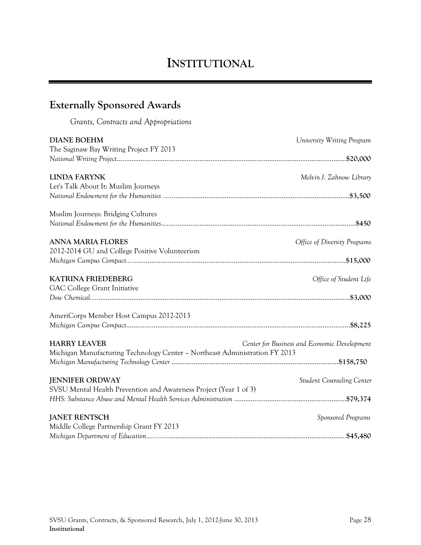## **INSTITUTIONAL**

## **Externally Sponsored Awards**

*Grants, Contracts and Appropriations*

| <b>DIANE BOEHM</b><br>The Saginaw Bay Writing Project FY 2013               | University Writing Program                   |
|-----------------------------------------------------------------------------|----------------------------------------------|
|                                                                             |                                              |
|                                                                             |                                              |
| <b>LINDA FARYNK</b>                                                         | Melvin J. Zahnow Library                     |
| Let's Talk About It: Muslim Journeys                                        |                                              |
|                                                                             |                                              |
|                                                                             |                                              |
| Muslim Journeys: Bridging Cultures                                          |                                              |
|                                                                             |                                              |
|                                                                             |                                              |
| <b>ANNA MARIA FLORES</b>                                                    | Office of Diversity Programs                 |
| 2012-2014 GU and College Positive Volunteerism                              |                                              |
|                                                                             |                                              |
|                                                                             |                                              |
| <b>KATRINA FRIEDEBERG</b>                                                   | Office of Student Life                       |
| GAC College Grant Initiative                                                |                                              |
|                                                                             |                                              |
|                                                                             |                                              |
| AmeriCorps Member Host Campus 2012-2013                                     |                                              |
|                                                                             |                                              |
|                                                                             |                                              |
| <b>HARRY LEAVER</b>                                                         | Center for Business and Economic Development |
| Michigan Manufacturing Technology Center - Northeast Administration FY 2013 |                                              |
|                                                                             |                                              |
|                                                                             |                                              |
| <b>JENNIFER ORDWAY</b>                                                      | <b>Student Counseling Center</b>             |
| SVSU Mental Health Prevention and Awareness Project (Year 1 of 3)           |                                              |
|                                                                             |                                              |
|                                                                             |                                              |
| <b>JANET RENTSCH</b>                                                        | Sponsored Programs                           |
| Middle College Partnership Grant FY 2013                                    |                                              |
|                                                                             |                                              |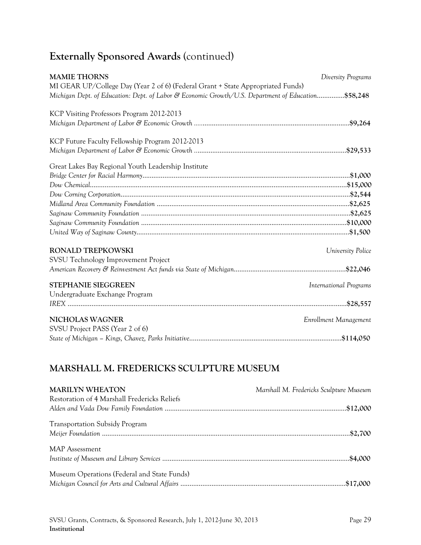## **Externally Sponsored Awards** (continued)

| <b>MAMIE THORNS</b>                                                                                                                                                                   | Diversity Programs            |
|---------------------------------------------------------------------------------------------------------------------------------------------------------------------------------------|-------------------------------|
| MI GEAR UP/College Day (Year 2 of 6) (Federal Grant + State Appropriated Funds)<br>Michigan Dept. of Education: Dept. of Labor & Economic Growth/U.S. Department of Education\$58,248 |                               |
| KCP Visiting Professors Program 2012-2013                                                                                                                                             |                               |
|                                                                                                                                                                                       |                               |
| KCP Future Faculty Fellowship Program 2012-2013                                                                                                                                       |                               |
|                                                                                                                                                                                       |                               |
| Great Lakes Bay Regional Youth Leadership Institute                                                                                                                                   |                               |
|                                                                                                                                                                                       |                               |
|                                                                                                                                                                                       |                               |
|                                                                                                                                                                                       |                               |
|                                                                                                                                                                                       |                               |
|                                                                                                                                                                                       |                               |
|                                                                                                                                                                                       |                               |
|                                                                                                                                                                                       |                               |
| <b>RONALD TREPKOWSKI</b>                                                                                                                                                              | University Police             |
| SVSU Technology Improvement Project                                                                                                                                                   |                               |
|                                                                                                                                                                                       |                               |
| <b>STEPHANIE SIEGGREEN</b>                                                                                                                                                            | <b>International Programs</b> |
| Undergraduate Exchange Program                                                                                                                                                        |                               |
|                                                                                                                                                                                       |                               |
| <b>NICHOLAS WAGNER</b>                                                                                                                                                                | Enrollment Management         |
| SVSU Project PASS (Year 2 of 6)                                                                                                                                                       |                               |
|                                                                                                                                                                                       |                               |

### **MARSHALL M. FREDERICKS SCULPTURE MUSEUM**

| <b>MARILYN WHEATON</b><br>Restoration of 4 Marshall Fredericks Reliefs | Marshall M. Fredericks Sculpture Museum |
|------------------------------------------------------------------------|-----------------------------------------|
|                                                                        |                                         |
| <b>Transportation Subsidy Program</b>                                  |                                         |
| <b>MAP</b> Assessment                                                  |                                         |
| Museum Operations (Federal and State Funds)                            |                                         |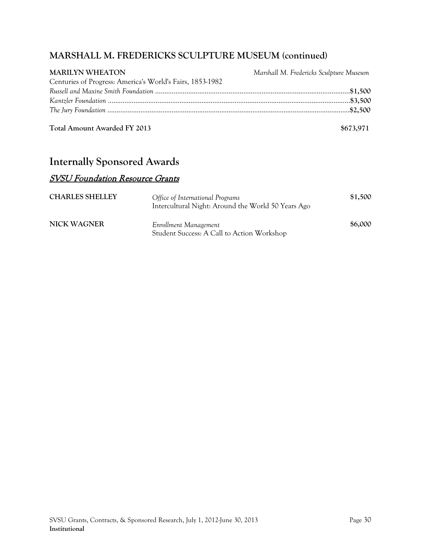### **MARSHALL M. FREDERICKS SCULPTURE MUSEUM (continued)**

| <b>MARILYN WHEATON</b>                                    | Marshall M. Fredericks Sculpture Museum |
|-----------------------------------------------------------|-----------------------------------------|
| Centuries of Progress: America's World's Fairs, 1853-1982 |                                         |
|                                                           |                                         |
|                                                           |                                         |
|                                                           |                                         |
|                                                           |                                         |

**Total Amount Awarded FY 2013 \$673,971** 

### **Internally Sponsored Awards**

### SVSU Foundation Resource Grants

| <b>CHARLES SHELLEY</b> | Office of International Programs<br>Intercultural Night: Around the World 50 Years Ago | \$1,500 |
|------------------------|----------------------------------------------------------------------------------------|---------|
| <b>NICK WAGNER</b>     | Enrollment Management<br>Student Success: A Call to Action Workshop                    | \$6,000 |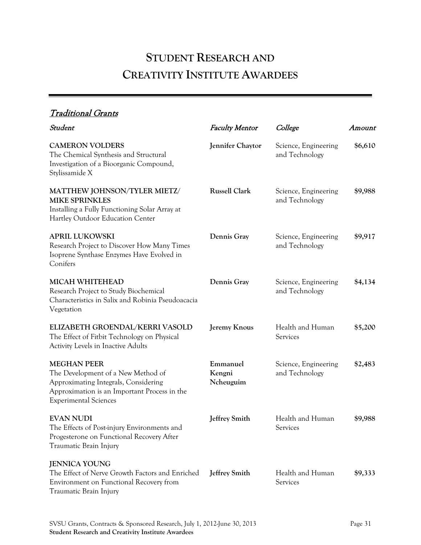# **STUDENT RESEARCH AND CREATIVITY INSTITUTE AWARDEES**

### Traditional Grants

| Student                                                                                                                                                                          | <b>Faculty Mentor</b>           | College                                | Amount  |
|----------------------------------------------------------------------------------------------------------------------------------------------------------------------------------|---------------------------------|----------------------------------------|---------|
| <b>CAMERON VOLDERS</b><br>The Chemical Synthesis and Structural<br>Investigation of a Bioorganic Compound,<br>Stylissamide X                                                     | Jennifer Chaytor                | Science, Engineering<br>and Technology | \$6,610 |
| <b>MATTHEW JOHNSON/TYLER MIETZ/</b><br><b>MIKE SPRINKLES</b><br>Installing a Fully Functioning Solar Array at<br>Hartley Outdoor Education Center                                | <b>Russell Clark</b>            | Science, Engineering<br>and Technology | \$9,988 |
| <b>APRIL LUKOWSKI</b><br>Research Project to Discover How Many Times<br>Isoprene Synthase Enzymes Have Evolved in<br>Conifers                                                    | Dennis Gray                     | Science, Engineering<br>and Technology | \$9,917 |
| <b>MICAH WHITEHEAD</b><br>Research Project to Study Biochemical<br>Characteristics in Salix and Robinia Pseudoacacia<br>Vegetation                                               | Dennis Gray                     | Science, Engineering<br>and Technology | \$4,134 |
| ELIZABETH GROENDAL/KERRI VASOLD<br>The Effect of Fitbit Technology on Physical<br>Activity Levels in Inactive Adults                                                             | Jeremy Knous                    | Health and Human<br>Services           | \$5,200 |
| <b>MEGHAN PEER</b><br>The Development of a New Method of<br>Approximating Integrals, Considering<br>Approximation is an Important Process in the<br><b>Experimental Sciences</b> | Emmanuel<br>Kengni<br>Ncheuguim | Science, Engineering<br>and Technology | \$2,483 |
| <b>EVAN NUDI</b><br>The Effects of Post-injury Environments and<br>Progesterone on Functional Recovery After<br>Traumatic Brain Injury                                           | <b>Jeffrey Smith</b>            | Health and Human<br>Services           | \$9,988 |
| <b>JENNICA YOUNG</b><br>The Effect of Nerve Growth Factors and Enriched<br>Environment on Functional Recovery from<br>Traumatic Brain Injury                                     | <b>Jeffrey Smith</b>            | Health and Human<br>Services           | \$9,333 |